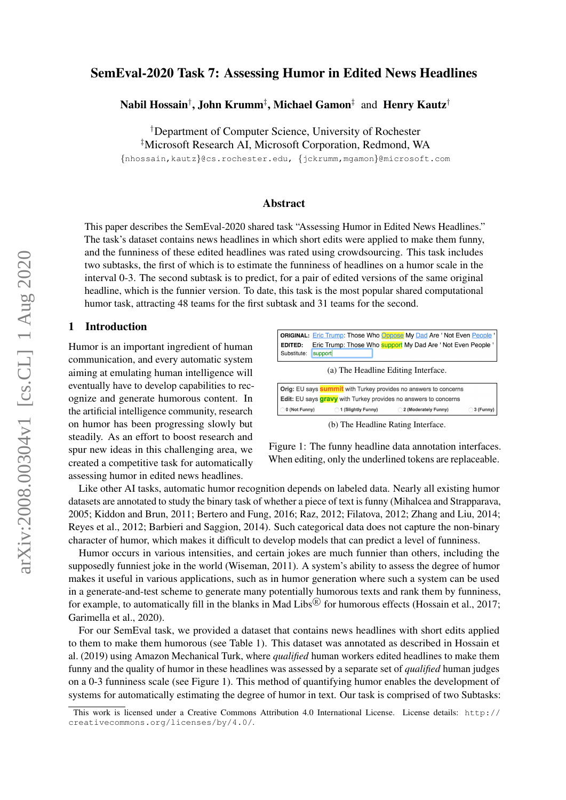# SemEval-2020 Task 7: Assessing Humor in Edited News Headlines

Nabil Hossain† , John Krumm‡ , Michael Gamon‡ and Henry Kautz†

†Department of Computer Science, University of Rochester

‡Microsoft Research AI, Microsoft Corporation, Redmond, WA

{nhossain,kautz}@cs.rochester.edu, {jckrumm,mgamon}@microsoft.com

### Abstract

This paper describes the SemEval-2020 shared task "Assessing Humor in Edited News Headlines." The task's dataset contains news headlines in which short edits were applied to make them funny, and the funniness of these edited headlines was rated using crowdsourcing. This task includes two subtasks, the first of which is to estimate the funniness of headlines on a humor scale in the interval 0-3. The second subtask is to predict, for a pair of edited versions of the same original headline, which is the funnier version. To date, this task is the most popular shared computational humor task, attracting 48 teams for the first subtask and 31 teams for the second.

#### 1 Introduction

Humor is an important ingredient of human communication, and every automatic system aiming at emulating human intelligence will eventually have to develop capabilities to recognize and generate humorous content. In the artificial intelligence community, research on humor has been progressing slowly but steadily. As an effort to boost research and spur new ideas in this challenging area, we created a competitive task for automatically assessing humor in edited news headlines.



Figure 1: The funny headline data annotation interfaces. When editing, only the underlined tokens are replaceable.

Like other AI tasks, automatic humor recognition depends on labeled data. Nearly all existing humor datasets are annotated to study the binary task of whether a piece of text is funny (Mihalcea and Strapparava, 2005; Kiddon and Brun, 2011; Bertero and Fung, 2016; Raz, 2012; Filatova, 2012; Zhang and Liu, 2014; Reyes et al., 2012; Barbieri and Saggion, 2014). Such categorical data does not capture the non-binary character of humor, which makes it difficult to develop models that can predict a level of funniness.

Humor occurs in various intensities, and certain jokes are much funnier than others, including the supposedly funniest joke in the world (Wiseman, 2011). A system's ability to assess the degree of humor makes it useful in various applications, such as in humor generation where such a system can be used in a generate-and-test scheme to generate many potentially humorous texts and rank them by funniness, for example, to automatically fill in the blanks in Mad Libs $\mathbb{B}$  for humorous effects (Hossain et al., 2017; Garimella et al., 2020).

For our SemEval task, we provided a dataset that contains news headlines with short edits applied to them to make them humorous (see Table 1). This dataset was annotated as described in Hossain et al. (2019) using Amazon Mechanical Turk, where *qualified* human workers edited headlines to make them funny and the quality of humor in these headlines was assessed by a separate set of *qualified* human judges on a 0-3 funniness scale (see Figure 1). This method of quantifying humor enables the development of systems for automatically estimating the degree of humor in text. Our task is comprised of two Subtasks:

This work is licensed under a Creative Commons Attribution 4.0 International License. License details: http:// creativecommons.org/licenses/by/4.0/.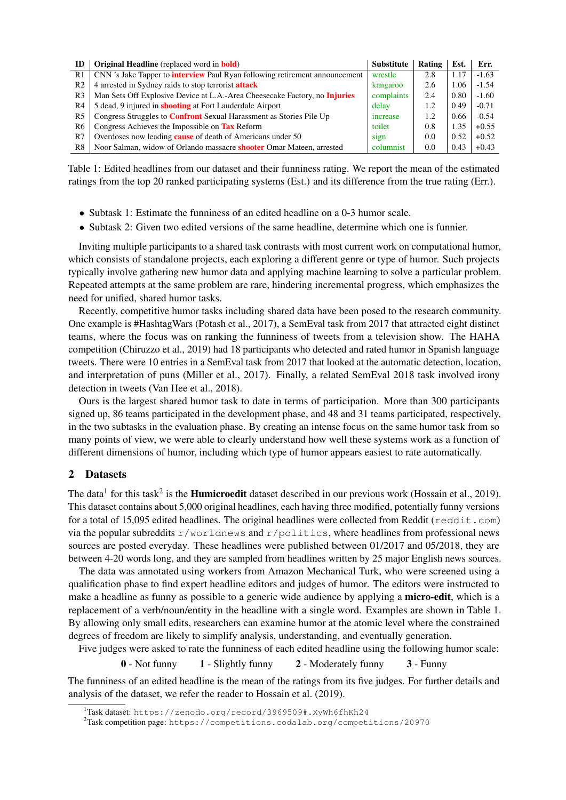| ID             | <b>Original Headline</b> (replaced word in <b>bold</b> )                           | <b>Substitute</b> | Rating | Est. | Err.    |
|----------------|------------------------------------------------------------------------------------|-------------------|--------|------|---------|
| R <sub>1</sub> | CNN 's Jake Tapper to <b>interview</b> Paul Ryan following retirement announcement | wrestle           | 2.8    | 1.17 | $-1.63$ |
| R <sub>2</sub> | 4 arrested in Sydney raids to stop terrorist <b>attack</b>                         | kangaroo          | 2.6    | 1.06 | $-1.54$ |
| R <sub>3</sub> | Man Sets Off Explosive Device at L.A.-Area Cheesecake Factory, no Injuries         | complaints        | 2.4    | 0.80 | $-1.60$ |
| R4             | 5 dead, 9 injured in <b>shooting</b> at Fort Lauderdale Airport                    | delay             | 1.2    | 0.49 | $-0.71$ |
| R <sub>5</sub> | Congress Struggles to <b>Confront</b> Sexual Harassment as Stories Pile Up         | increase          | 1.2.   | 0.66 | $-0.54$ |
| R6             | Congress Achieves the Impossible on Tax Reform                                     | toilet            | 0.8    | 1.35 | $+0.55$ |
| R7             | Overdoses now leading <b>cause</b> of death of Americans under 50                  | sign              | 0.0    | 0.52 | $+0.52$ |
| R8             | Noor Salman, widow of Orlando massacre <b>shooter</b> Omar Mateen, arrested        | columnist         | 0.0    | 0.43 | $+0.43$ |

Table 1: Edited headlines from our dataset and their funniness rating. We report the mean of the estimated ratings from the top 20 ranked participating systems (Est.) and its difference from the true rating (Err.).

- Subtask 1: Estimate the funniness of an edited headline on a 0-3 humor scale.
- Subtask 2: Given two edited versions of the same headline, determine which one is funnier.

Inviting multiple participants to a shared task contrasts with most current work on computational humor, which consists of standalone projects, each exploring a different genre or type of humor. Such projects typically involve gathering new humor data and applying machine learning to solve a particular problem. Repeated attempts at the same problem are rare, hindering incremental progress, which emphasizes the need for unified, shared humor tasks.

Recently, competitive humor tasks including shared data have been posed to the research community. One example is #HashtagWars (Potash et al., 2017), a SemEval task from 2017 that attracted eight distinct teams, where the focus was on ranking the funniness of tweets from a television show. The HAHA competition (Chiruzzo et al., 2019) had 18 participants who detected and rated humor in Spanish language tweets. There were 10 entries in a SemEval task from 2017 that looked at the automatic detection, location, and interpretation of puns (Miller et al., 2017). Finally, a related SemEval 2018 task involved irony detection in tweets (Van Hee et al., 2018).

Ours is the largest shared humor task to date in terms of participation. More than 300 participants signed up, 86 teams participated in the development phase, and 48 and 31 teams participated, respectively, in the two subtasks in the evaluation phase. By creating an intense focus on the same humor task from so many points of view, we were able to clearly understand how well these systems work as a function of different dimensions of humor, including which type of humor appears easiest to rate automatically.

# 2 Datasets

The data<sup>1</sup> for this task<sup>2</sup> is the **Humicroedit** dataset described in our previous work (Hossain et al., 2019). This dataset contains about 5,000 original headlines, each having three modified, potentially funny versions for a total of 15,095 edited headlines. The original headlines were collected from Reddit ( $reddit$ ,  $com$ ) via the popular subreddits r/worldnews and r/politics, where headlines from professional news sources are posted everyday. These headlines were published between 01/2017 and 05/2018, they are between 4-20 words long, and they are sampled from headlines written by 25 major English news sources.

The data was annotated using workers from Amazon Mechanical Turk, who were screened using a qualification phase to find expert headline editors and judges of humor. The editors were instructed to make a headline as funny as possible to a generic wide audience by applying a **micro-edit**, which is a replacement of a verb/noun/entity in the headline with a single word. Examples are shown in Table 1. By allowing only small edits, researchers can examine humor at the atomic level where the constrained degrees of freedom are likely to simplify analysis, understanding, and eventually generation.

Five judges were asked to rate the funniness of each edited headline using the following humor scale:

0 - Not funny 1 - Slightly funny 2 - Moderately funny 3 - Funny

The funniness of an edited headline is the mean of the ratings from its five judges. For further details and analysis of the dataset, we refer the reader to Hossain et al. (2019).

<sup>1</sup>Task dataset: https://zenodo.org/record/3969509#.XyWh6fhKh24

<sup>2</sup>Task competition page: https://competitions.codalab.org/competitions/20970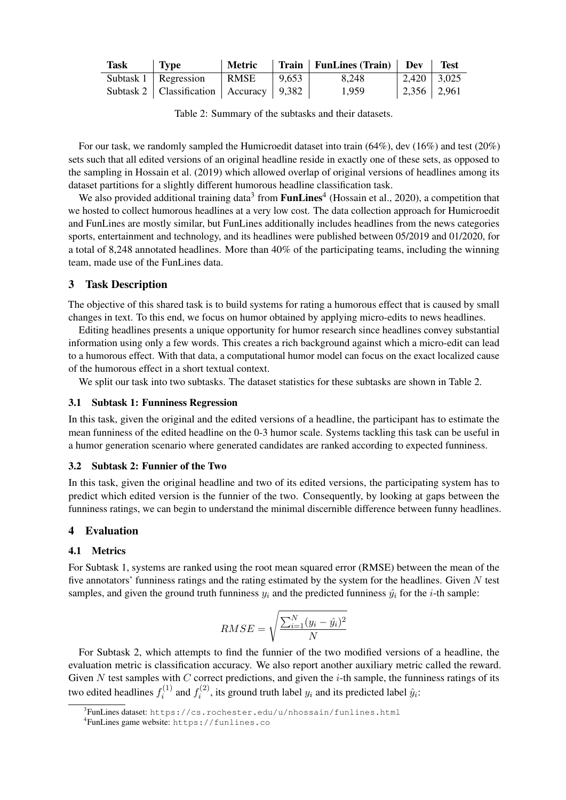| Task | <b>Type</b>                                   | Metric |       | $\vert$ Train $\vert$ FunLines (Train) $\vert$ Dev |                   | <b>Test</b> |
|------|-----------------------------------------------|--------|-------|----------------------------------------------------|-------------------|-------------|
|      | Subtask $1 \mid \text{Regression}$            | RMSE   | 9,653 | 8.248                                              | $2,420$   $3,025$ |             |
|      | Subtask 2   Classification   Accuracy   9,382 |        |       | 1,959                                              | 2,356   2,961     |             |

Table 2: Summary of the subtasks and their datasets.

For our task, we randomly sampled the Humicroedit dataset into train (64%), dev (16%) and test (20%) sets such that all edited versions of an original headline reside in exactly one of these sets, as opposed to the sampling in Hossain et al. (2019) which allowed overlap of original versions of headlines among its dataset partitions for a slightly different humorous headline classification task.

We also provided additional training data<sup>3</sup> from FunLines<sup>4</sup> (Hossain et al., 2020), a competition that we hosted to collect humorous headlines at a very low cost. The data collection approach for Humicroedit and FunLines are mostly similar, but FunLines additionally includes headlines from the news categories sports, entertainment and technology, and its headlines were published between 05/2019 and 01/2020, for a total of 8,248 annotated headlines. More than 40% of the participating teams, including the winning team, made use of the FunLines data.

# 3 Task Description

The objective of this shared task is to build systems for rating a humorous effect that is caused by small changes in text. To this end, we focus on humor obtained by applying micro-edits to news headlines.

Editing headlines presents a unique opportunity for humor research since headlines convey substantial information using only a few words. This creates a rich background against which a micro-edit can lead to a humorous effect. With that data, a computational humor model can focus on the exact localized cause of the humorous effect in a short textual context.

We split our task into two subtasks. The dataset statistics for these subtasks are shown in Table 2.

### 3.1 Subtask 1: Funniness Regression

In this task, given the original and the edited versions of a headline, the participant has to estimate the mean funniness of the edited headline on the 0-3 humor scale. Systems tackling this task can be useful in a humor generation scenario where generated candidates are ranked according to expected funniness.

# 3.2 Subtask 2: Funnier of the Two

In this task, given the original headline and two of its edited versions, the participating system has to predict which edited version is the funnier of the two. Consequently, by looking at gaps between the funniness ratings, we can begin to understand the minimal discernible difference between funny headlines.

# 4 Evaluation

# 4.1 Metrics

For Subtask 1, systems are ranked using the root mean squared error (RMSE) between the mean of the five annotators' funniness ratings and the rating estimated by the system for the headlines. Given  $N$  test samples, and given the ground truth funniness  $y_i$  and the predicted funniness  $\hat{y}_i$  for the *i*-th sample:

$$
RMSE = \sqrt{\frac{\sum_{i=1}^{N} (y_i - \hat{y}_i)^2}{N}}
$$

For Subtask 2, which attempts to find the funnier of the two modified versions of a headline, the evaluation metric is classification accuracy. We also report another auxiliary metric called the reward. Given  $N$  test samples with  $C$  correct predictions, and given the  $i$ -th sample, the funniness ratings of its two edited headlines  $f_i^{(1)}$  $f_i^{(1)}$  and  $f_i^{(2)}$  $i^{(2)}$ , its ground truth label  $y_i$  and its predicted label  $\hat{y}_i$ :

 $^3$ FunLines dataset: https://cs.rochester.edu/u/nhossain/funlines.html

<sup>4</sup> FunLines game website: https://funlines.co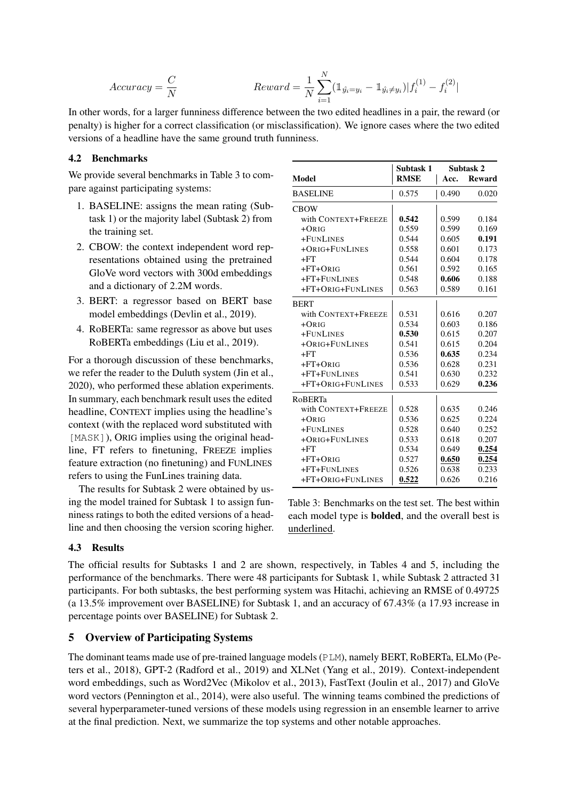$$
Accuracy = \frac{C}{N}
$$
\n
$$
Reward = \frac{1}{N} \sum_{i=1}^{N} (\mathbb{1}_{\hat{y}_i = y_i} - \mathbb{1}_{\hat{y}_i \neq y_i}) |f_i^{(1)} - f_i^{(2)}|
$$

In other words, for a larger funniness difference between the two edited headlines in a pair, the reward (or penalty) is higher for a correct classification (or misclassification). We ignore cases where the two edited versions of a headline have the same ground truth funniness.

### 4.2 Benchmarks

We provide several benchmarks in Table 3 to compare against participating systems:

- 1. BASELINE: assigns the mean rating (Subtask 1) or the majority label (Subtask 2) from the training set.
- 2. CBOW: the context independent word representations obtained using the pretrained GloVe word vectors with 300d embeddings and a dictionary of 2.2M words.
- 3. BERT: a regressor based on BERT base model embeddings (Devlin et al., 2019).
- 4. RoBERTa: same regressor as above but uses RoBERTa embeddings (Liu et al., 2019).

For a thorough discussion of these benchmarks, we refer the reader to the Duluth system (Jin et al., 2020), who performed these ablation experiments. In summary, each benchmark result uses the edited headline, CONTEXT implies using the headline's context (with the replaced word substituted with [MASK]), ORIG implies using the original headline, FT refers to finetuning, FREEZE implies feature extraction (no finetuning) and FUNLINES refers to using the FunLines training data.

The results for Subtask 2 were obtained by using the model trained for Subtask 1 to assign funniness ratings to both the edited versions of a headline and then choosing the version scoring higher.

|                     | Subtask 1   | Subtask 2 |               |  |
|---------------------|-------------|-----------|---------------|--|
| Model               | <b>RMSE</b> | Acc.      | <b>Reward</b> |  |
| <b>BASELINE</b>     | 0.575       | 0.490     | 0.020         |  |
| <b>CBOW</b>         |             |           |               |  |
| with CONTEXT+FREEZE | 0.542       | 0.599     | 0.184         |  |
| $+ORIG$             | 0.559       | 0.599     | 0.169         |  |
| +FUNLINES           | 0.544       | 0.605     | 0.191         |  |
| +ORIG+FUNLINES      | 0.558       | 0.601     | 0.173         |  |
| $+FT$               | 0.544       | 0.604     | 0.178         |  |
| $+FT+ORIG$          | 0.561       | 0.592     | 0.165         |  |
| +FT+FUNLINES        | 0.548       | 0.606     | 0.188         |  |
| +FT+ORIG+FUNLINES   | 0.563       | 0.589     | 0.161         |  |
| <b>BERT</b>         |             |           |               |  |
| with CONTEXT+FREEZE | 0.531       | 0.616     | 0.207         |  |
| $+ORIG$             | 0.534       | 0.603     | 0.186         |  |
| +FUNLINES           | 0.530       | 0.615     | 0.207         |  |
| +ORIG+FUNLINES      | 0.541       | 0.615     | 0.204         |  |
| $+FT$               | 0.536       | 0.635     | 0.234         |  |
| $+FT+ORIG$          | 0.536       | 0.628     | 0.231         |  |
| +FT+FUNLINES        | 0.541       | 0.630     | 0.232         |  |
| +FT+ORIG+FUNLINES   | 0.533       | 0.629     | 0.236         |  |
| <b>RoBERTa</b>      |             |           |               |  |
| with CONTEXT+FREEZE | 0.528       | 0.635     | 0.246         |  |
| $+ORIG$             | 0.536       | 0.625     | 0.224         |  |
| +FUNLINES           | 0.528       | 0.640     | 0.252         |  |
| +ORIG+FUNLINES      | 0.533       | 0.618     | 0.207         |  |
| $+FT$               | 0.534       | 0.649     | 0.254         |  |
| $+FT+ORIG$          | 0.527       | 0.650     | 0.254         |  |
| +FT+FUNLINES        | 0.526       | 0.638     | 0.233         |  |
| +FT+ORIG+FUNLINES   | 0.522       | 0.626     | 0.216         |  |

Table 3: Benchmarks on the test set. The best within each model type is bolded, and the overall best is underlined.

# 4.3 Results

The official results for Subtasks 1 and 2 are shown, respectively, in Tables 4 and 5, including the performance of the benchmarks. There were 48 participants for Subtask 1, while Subtask 2 attracted 31 participants. For both subtasks, the best performing system was Hitachi, achieving an RMSE of 0.49725 (a 13.5% improvement over BASELINE) for Subtask 1, and an accuracy of 67.43% (a 17.93 increase in percentage points over BASELINE) for Subtask 2.

# 5 Overview of Participating Systems

The dominant teams made use of pre-trained language models (PLM), namely BERT, RoBERTa, ELMo (Peters et al., 2018), GPT-2 (Radford et al., 2019) and XLNet (Yang et al., 2019). Context-independent word embeddings, such as Word2Vec (Mikolov et al., 2013), FastText (Joulin et al., 2017) and GloVe word vectors (Pennington et al., 2014), were also useful. The winning teams combined the predictions of several hyperparameter-tuned versions of these models using regression in an ensemble learner to arrive at the final prediction. Next, we summarize the top systems and other notable approaches.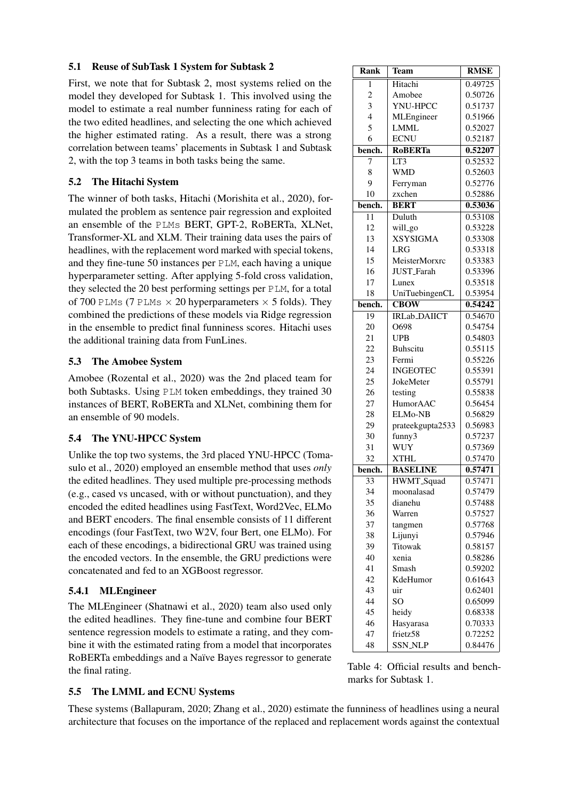# 5.1 Reuse of SubTask 1 System for Subtask 2 Rank Team RMSE

First, we note that for Subtask 2, most systems relied on the model they developed for Subtask 1. This involved using the model to estimate a real number funniness rating for each of the two edited headlines, and selecting the one which achieved the higher estimated rating. As a result, there was a strong correlation between teams' placements in Subtask 1 and Subtask 2, with the top 3 teams in both tasks being the same.

# 5.2 The Hitachi System

The winner of both tasks, Hitachi (Morishita et al., 2020), formulated the problem as sentence pair regression and exploited an ensemble of the PLMs BERT, GPT-2, RoBERTa, XLNet, Transformer-XL and XLM. Their training data uses the pairs of headlines, with the replacement word marked with special tokens, and they fine-tune 50 instances per PLM, each having a unique hyperparameter setting. After applying 5-fold cross validation, they selected the 20 best performing settings per PLM, for a total of 700 PLMs (7 PLMs  $\times$  20 hyperparameters  $\times$  5 folds). They combined the predictions of these models via Ridge regression in the ensemble to predict final funniness scores. Hitachi uses the additional training data from FunLines.

# 5.3 The Amobee System

Amobee (Rozental et al., 2020) was the 2nd placed team for both Subtasks. Using PLM token embeddings, they trained 30 instances of BERT, RoBERTa and XLNet, combining them for an ensemble of 90 models.

# 5.4 The YNU-HPCC System

Unlike the top two systems, the 3rd placed YNU-HPCC (Tomasulo et al., 2020) employed an ensemble method that uses *only* the edited headlines. They used multiple pre-processing methods (e.g., cased vs uncased, with or without punctuation), and they encoded the edited headlines using FastText, Word2Vec, ELMo and BERT encoders. The final ensemble consists of 11 different encodings (four FastText, two W2V, four Bert, one ELMo). For each of these encodings, a bidirectional GRU was trained using the encoded vectors. In the ensemble, the GRU predictions were concatenated and fed to an XGBoost regressor.

# 5.4.1 MLEngineer

The MLEngineer (Shatnawi et al., 2020) team also used only the edited headlines. They fine-tune and combine four BERT sentence regression models to estimate a rating, and they combine it with the estimated rating from a model that incorporates RoBERTa embeddings and a Naïve Bayes regressor to generate the final rating.

#### 1 Hitachi 0.49725 2 | Amobee | 0.50726 3 | YNU-HPCC | 0.51737 4 MLEngineer | 0.51966 5 LMML 0.52027 6 ECNU 0.52187 bench. RoBERTa 0.52207 7 LT3 0.52532 8 | WMD | 0.52603 9 Ferryman 0.52776 10 zxchen | 0.52886 bench. BERT 0.53036 11 Duluth 0.53108 12 | will\_go | 0.53228 13 | XSYSIGMA | 0.53308 14 | LRG | 0.53318 15 | MeisterMorxrc | 0.53383 16 | JUST\_Farah | 0.53396 17 | Lunex | 0.53518 18 | UniTuebingenCL | 0.53954 bench. CBOW 0.54242 19 IRLab\_DAIICT 0.54670 20 O698 0.54754 21 | UPB | 0.54803 22 Buhscitu | 0.55115 23 Fermi 0.55226 24 | **INGEOTEC** | 0.55391 25 JokeMeter 0.55791 26 testing | 0.55838 27 HumorAAC 0.56454 28 ELMo-NB 0.56829 29 | prateekgupta2533 | 0.56983 30 funny3 0.57237 31 | WUY | 0.57369 32 | XTHL | 0.57470 bench. BASELINE  $0.57471$ 33 HWMT\_Squad 0.57471 34 moonalasad 0.57479 35 dianehu 0.57488 36 | Warren | 0.57527 37 tangmen 0.57768 38 Lijunyi 0.57946 39 Titowak 0.58157 40 xenia 0.58286 41 Smash 0.59202 42 KdeHumor | 0.61643 43 uir 0.62401 44 | SO | 0.65099 45 heidy 0.68338 46 | Hasyarasa | 0.70333



47 frietz58 0.72252 48 SSN\_NLP | 0.84476

# 5.5 The LMML and ECNU Systems

These systems (Ballapuram, 2020; Zhang et al., 2020) estimate the funniness of headlines using a neural architecture that focuses on the importance of the replaced and replacement words against the contextual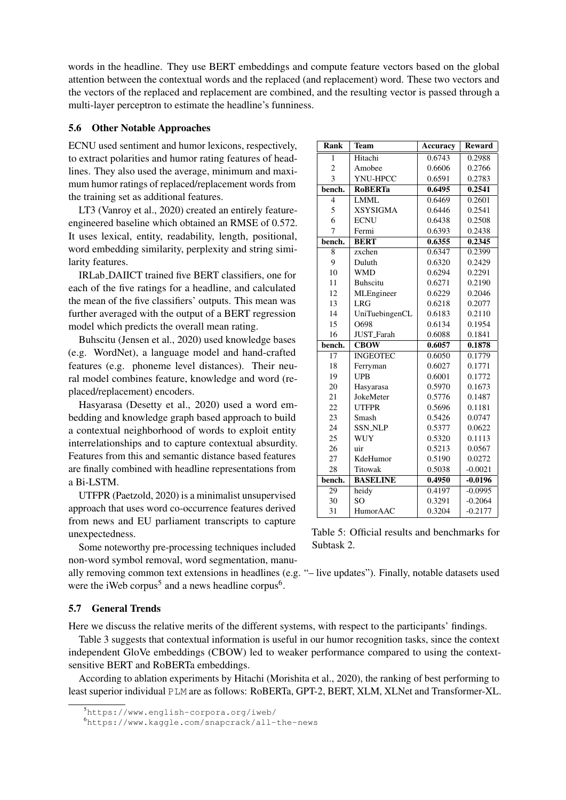words in the headline. They use BERT embeddings and compute feature vectors based on the global attention between the contextual words and the replaced (and replacement) word. These two vectors and the vectors of the replaced and replacement are combined, and the resulting vector is passed through a multi-layer perceptron to estimate the headline's funniness.

#### 5.6 Other Notable Approaches

ECNU used sentiment and humor lexicons, respectively, to extract polarities and humor rating features of headlines. They also used the average, minimum and maximum humor ratings of replaced/replacement words from the training set as additional features.

LT3 (Vanroy et al., 2020) created an entirely featureengineered baseline which obtained an RMSE of 0.572. It uses lexical, entity, readability, length, positional, word embedding similarity, perplexity and string similarity features.

IRLab DAIICT trained five BERT classifiers, one for each of the five ratings for a headline, and calculated the mean of the five classifiers' outputs. This mean was further averaged with the output of a BERT regression model which predicts the overall mean rating.

Buhscitu (Jensen et al., 2020) used knowledge bases (e.g. WordNet), a language model and hand-crafted features (e.g. phoneme level distances). Their neural model combines feature, knowledge and word (replaced/replacement) encoders.

Hasyarasa (Desetty et al., 2020) used a word embedding and knowledge graph based approach to build a contextual neighborhood of words to exploit entity interrelationships and to capture contextual absurdity. Features from this and semantic distance based features are finally combined with headline representations from a Bi-LSTM.

UTFPR (Paetzold, 2020) is a minimalist unsupervised approach that uses word co-occurrence features derived from news and EU parliament transcripts to capture unexpectedness.

Some noteworthy pre-processing techniques included non-word symbol removal, word segmentation, manu-

ally removing common text extensions in headlines (e.g. "– live updates"). Finally, notable datasets used were the iWeb corpus<sup>5</sup> and a news headline corpus<sup>6</sup>.

# 5.7 General Trends

Here we discuss the relative merits of the different systems, with respect to the participants' findings.

Table 3 suggests that contextual information is useful in our humor recognition tasks, since the context independent GloVe embeddings (CBOW) led to weaker performance compared to using the contextsensitive BERT and RoBERTa embeddings.

According to ablation experiments by Hitachi (Morishita et al., 2020), the ranking of best performing to least superior individual PLM are as follows: RoBERTa, GPT-2, BERT, XLM, XLNet and Transformer-XL.

| Rank           | <b>Team</b>                   | <b>Accuracy</b> | <b>Reward</b> |
|----------------|-------------------------------|-----------------|---------------|
| 1              | Hitachi                       | 0.6743          | 0.2988        |
| $\overline{2}$ | Amobee                        | 0.6606          | 0.2766        |
| $\overline{3}$ | YNU-HPCC                      | 0.6591          | 0.2783        |
| bench.         | <b>RoBERTa</b>                | 0.6495          | 0.2541        |
| $\overline{4}$ | <b>LMML</b>                   | 0.6469          | 0.2601        |
| 5              | <b>XSYSIGMA</b>               | 0.6446          | 0.2541        |
| 6              | <b>ECNU</b>                   | 0.6438          | 0.2508        |
| $\overline{7}$ | Fermi                         | 0.6393          | 0.2438        |
| bench.         | <b>BERT</b>                   | 0.6355          | 0.2345        |
| 8              | $\overline{\mathsf{z}}$ xchen | 0.6347          | 0.2399        |
| 9              | Duluth                        | 0.6320          | 0.2429        |
| 10             | <b>WMD</b>                    | 0.6294          | 0.2291        |
| 11             | <b>Buhscitu</b>               | 0.6271          | 0.2190        |
| 12             | MLEngineer                    | 0.6229          | 0.2046        |
| 13             | <b>LRG</b>                    | 0.6218          | 0.2077        |
| 14             | UniTuebingenCL                | 0.6183          | 0.2110        |
| 15             | O698                          | 0.6134          | 0.1954        |
| 16             | JUST_Farah                    | 0.6088          | 0.1841        |
| bench.         | <b>CBOW</b>                   | 0.6057          | 0.1878        |
| 17             | <b>INGEOTEC</b>               | 0.6050          | 0.1779        |
| 18             | Ferryman                      | 0.6027          | 0.1771        |
| 19             | <b>UPB</b>                    | 0.6001          | 0.1772        |
| 20             | Hasyarasa                     | 0.5970          | 0.1673        |
| 21             | JokeMeter                     | 0.5776          | 0.1487        |
| 22             | <b>UTFPR</b>                  | 0.5696          | 0.1181        |
| 23             | Smash                         | 0.5426          | 0.0747        |
| 24             | <b>SSN_NLP</b>                | 0.5377          | 0.0622        |
| 25             | <b>WUY</b>                    | 0.5320          | 0.1113        |
| 26             | uir                           | 0.5213          | 0.0567        |
| 27             | KdeHumor                      | 0.5190          | 0.0272        |
| 28             | Titowak                       | 0.5038          | $-0.0021$     |
| bench.         | <b>BASELINE</b>               | 0.4950          | $-0.0196$     |
| 29             | heidy                         | 0.4197          | $-0.0995$     |
| 30             | <b>SO</b>                     | 0.3291          | $-0.2064$     |
| 31             | HumorAAC                      | 0.3204          | $-0.2177$     |

Table 5: Official results and benchmarks for Subtask 2.

<sup>5</sup>https://www.english-corpora.org/iweb/

<sup>6</sup>https://www.kaggle.com/snapcrack/all-the-news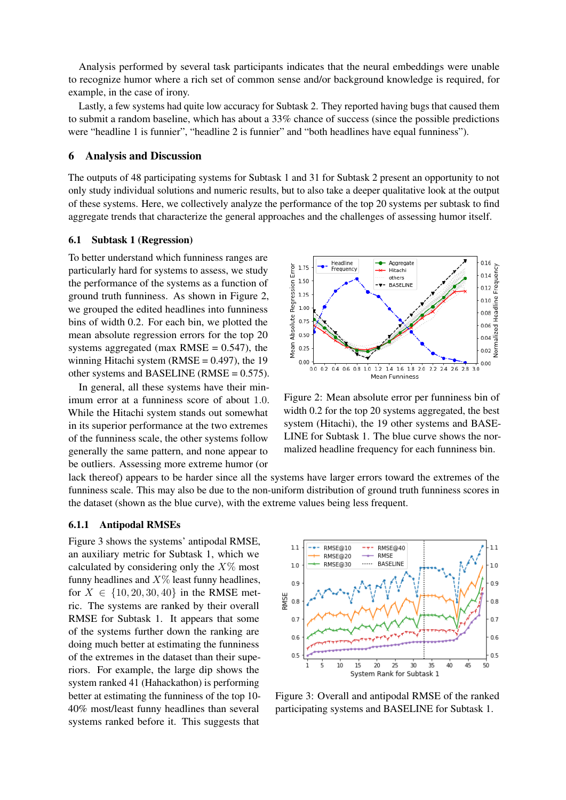Analysis performed by several task participants indicates that the neural embeddings were unable to recognize humor where a rich set of common sense and/or background knowledge is required, for example, in the case of irony.

Lastly, a few systems had quite low accuracy for Subtask 2. They reported having bugs that caused them to submit a random baseline, which has about a 33% chance of success (since the possible predictions were "headline 1 is funnier", "headline 2 is funnier" and "both headlines have equal funniness").

### 6 Analysis and Discussion

The outputs of 48 participating systems for Subtask 1 and 31 for Subtask 2 present an opportunity to not only study individual solutions and numeric results, but to also take a deeper qualitative look at the output of these systems. Here, we collectively analyze the performance of the top 20 systems per subtask to find aggregate trends that characterize the general approaches and the challenges of assessing humor itself.

#### 6.1 Subtask 1 (Regression)

To better understand which funniness ranges are particularly hard for systems to assess, we study the performance of the systems as a function of ground truth funniness. As shown in Figure 2, we grouped the edited headlines into funniness bins of width 0.2. For each bin, we plotted the mean absolute regression errors for the top 20 systems aggregated (max RMSE =  $0.547$ ), the winning Hitachi system ( $RMSE = 0.497$ ), the 19 other systems and BASELINE (RMSE =  $0.575$ ).

In general, all these systems have their minimum error at a funniness score of about 1.0. While the Hitachi system stands out somewhat in its superior performance at the two extremes of the funniness scale, the other systems follow generally the same pattern, and none appear to be outliers. Assessing more extreme humor (or



Figure 2: Mean absolute error per funniness bin of width 0.2 for the top 20 systems aggregated, the best system (Hitachi), the 19 other systems and BASE-LINE for Subtask 1. The blue curve shows the normalized headline frequency for each funniness bin.

lack thereof) appears to be harder since all the systems have larger errors toward the extremes of the funniness scale. This may also be due to the non-uniform distribution of ground truth funniness scores in the dataset (shown as the blue curve), with the extreme values being less frequent.

#### 6.1.1 Antipodal RMSEs

Figure 3 shows the systems' antipodal RMSE, an auxiliary metric for Subtask 1, which we calculated by considering only the  $X\%$  most funny headlines and  $X\%$  least funny headlines, for  $X \in \{10, 20, 30, 40\}$  in the RMSE metric. The systems are ranked by their overall RMSE for Subtask 1. It appears that some of the systems further down the ranking are doing much better at estimating the funniness of the extremes in the dataset than their superiors. For example, the large dip shows the system ranked 41 (Hahackathon) is performing better at estimating the funniness of the top 10- 40% most/least funny headlines than several systems ranked before it. This suggests that



Figure 3: Overall and antipodal RMSE of the ranked participating systems and BASELINE for Subtask 1.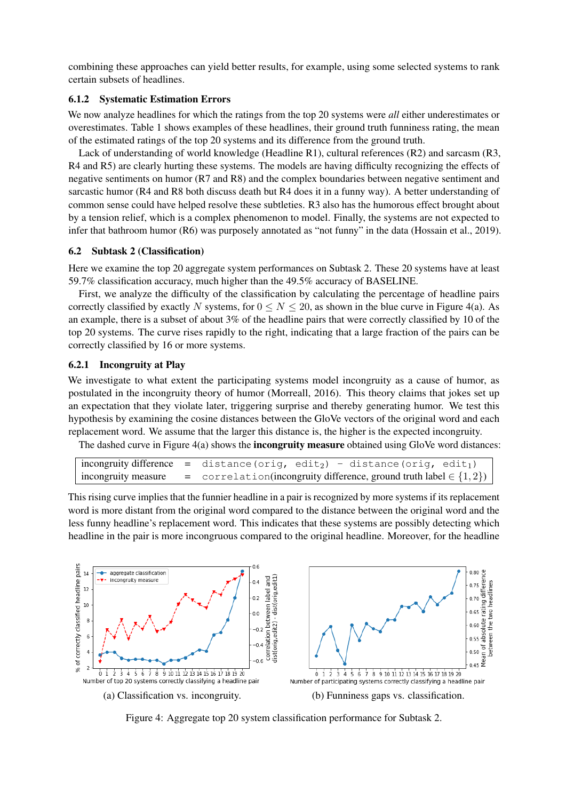combining these approaches can yield better results, for example, using some selected systems to rank certain subsets of headlines.

# 6.1.2 Systematic Estimation Errors

We now analyze headlines for which the ratings from the top 20 systems were *all* either underestimates or overestimates. Table 1 shows examples of these headlines, their ground truth funniness rating, the mean of the estimated ratings of the top 20 systems and its difference from the ground truth.

Lack of understanding of world knowledge (Headline R1), cultural references (R2) and sarcasm (R3, R4 and R5) are clearly hurting these systems. The models are having difficulty recognizing the effects of negative sentiments on humor (R7 and R8) and the complex boundaries between negative sentiment and sarcastic humor (R4 and R8 both discuss death but R4 does it in a funny way). A better understanding of common sense could have helped resolve these subtleties. R3 also has the humorous effect brought about by a tension relief, which is a complex phenomenon to model. Finally, the systems are not expected to infer that bathroom humor (R6) was purposely annotated as "not funny" in the data (Hossain et al., 2019).

### 6.2 Subtask 2 (Classification)

Here we examine the top 20 aggregate system performances on Subtask 2. These 20 systems have at least 59.7% classification accuracy, much higher than the 49.5% accuracy of BASELINE.

First, we analyze the difficulty of the classification by calculating the percentage of headline pairs correctly classified by exactly N systems, for  $0 \le N \le 20$ , as shown in the blue curve in Figure 4(a). As an example, there is a subset of about 3% of the headline pairs that were correctly classified by 10 of the top 20 systems. The curve rises rapidly to the right, indicating that a large fraction of the pairs can be correctly classified by 16 or more systems.

### 6.2.1 Incongruity at Play

We investigate to what extent the participating systems model incongruity as a cause of humor, as postulated in the incongruity theory of humor (Morreall, 2016). This theory claims that jokes set up an expectation that they violate later, triggering surprise and thereby generating humor. We test this hypothesis by examining the cosine distances between the GloVe vectors of the original word and each replacement word. We assume that the larger this distance is, the higher is the expected incongruity.

The dashed curve in Figure  $4(a)$  shows the **incongruity measure** obtained using GloVe word distances:

```
\text{incon} difference = distance(orig, edit) - distance(orig, edit1)
incongruity measure = correlation(incongruity difference, ground truth label \in \{1, 2\})
```
This rising curve implies that the funnier headline in a pair is recognized by more systems if its replacement word is more distant from the original word compared to the distance between the original word and the less funny headline's replacement word. This indicates that these systems are possibly detecting which headline in the pair is more incongruous compared to the original headline. Moreover, for the headline



Figure 4: Aggregate top 20 system classification performance for Subtask 2.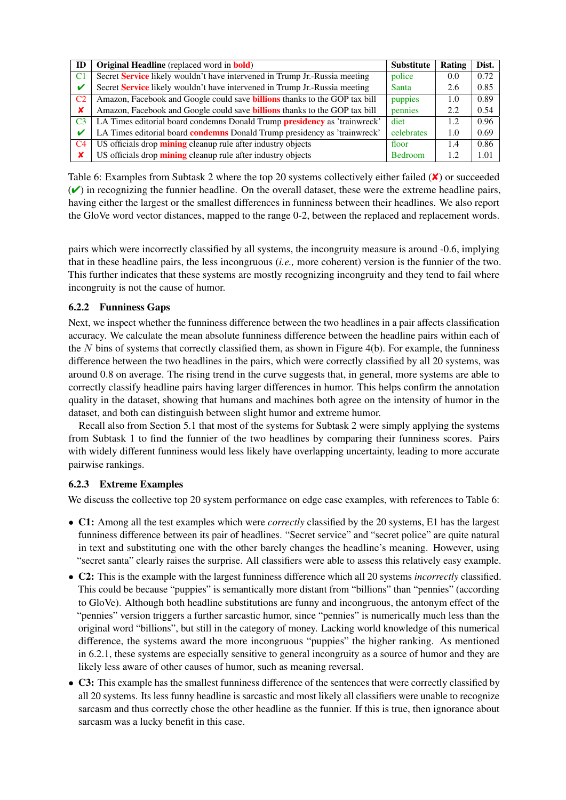| ID                        | <b>Original Headline</b> (replaced word in <b>bold</b> )                          | <b>Substitute</b> | Rating | Dist. |
|---------------------------|-----------------------------------------------------------------------------------|-------------------|--------|-------|
| C1                        | Secret Service likely wouldn't have intervened in Trump Jr.-Russia meeting        | police            | 0.0    | 0.72  |
| V                         | Secret Service likely wouldn't have intervened in Trump Jr.-Russia meeting        | Santa             | 2.6    | 0.85  |
| C <sub>2</sub>            | Amazon, Facebook and Google could save <b>billions</b> thanks to the GOP tax bill | puppies           | 1.0    | 0.89  |
| $\boldsymbol{\mathsf{x}}$ | Amazon, Facebook and Google could save <b>billions</b> thanks to the GOP tax bill | pennies           | 2.2    | 0.54  |
| C <sub>3</sub>            | LA Times editorial board condemns Donald Trump presidency as 'trainwreck'         | diet              | 1.2    | 0.96  |
|                           | LA Times editorial board <b>condemns</b> Donald Trump presidency as 'trainwreck'  | celebrates        | 1.0    | 0.69  |
| C <sub>4</sub>            | US officials drop mining cleanup rule after industry objects                      | floor             | 1.4    | 0.86  |
| x                         | US officials drop mining cleanup rule after industry objects                      | <b>Bedroom</b>    | 1.2    | 1.01  |

Table 6: Examples from Subtask 2 where the top 20 systems collectively either failed (**★**) or succeeded  $(\vee)$  in recognizing the funnier headline. On the overall dataset, these were the extreme headline pairs, having either the largest or the smallest differences in funniness between their headlines. We also report the GloVe word vector distances, mapped to the range 0-2, between the replaced and replacement words.

pairs which were incorrectly classified by all systems, the incongruity measure is around -0.6, implying that in these headline pairs, the less incongruous (*i.e.,* more coherent) version is the funnier of the two. This further indicates that these systems are mostly recognizing incongruity and they tend to fail where incongruity is not the cause of humor.

# 6.2.2 Funniness Gaps

Next, we inspect whether the funniness difference between the two headlines in a pair affects classification accuracy. We calculate the mean absolute funniness difference between the headline pairs within each of the  $N$  bins of systems that correctly classified them, as shown in Figure 4(b). For example, the funniness difference between the two headlines in the pairs, which were correctly classified by all 20 systems, was around 0.8 on average. The rising trend in the curve suggests that, in general, more systems are able to correctly classify headline pairs having larger differences in humor. This helps confirm the annotation quality in the dataset, showing that humans and machines both agree on the intensity of humor in the dataset, and both can distinguish between slight humor and extreme humor.

Recall also from Section 5.1 that most of the systems for Subtask 2 were simply applying the systems from Subtask 1 to find the funnier of the two headlines by comparing their funniness scores. Pairs with widely different funniness would less likely have overlapping uncertainty, leading to more accurate pairwise rankings.

# 6.2.3 Extreme Examples

We discuss the collective top 20 system performance on edge case examples, with references to Table 6:

- C1: Among all the test examples which were *correctly* classified by the 20 systems, E1 has the largest funniness difference between its pair of headlines. "Secret service" and "secret police" are quite natural in text and substituting one with the other barely changes the headline's meaning. However, using "secret santa" clearly raises the surprise. All classifiers were able to assess this relatively easy example.
- C2: This is the example with the largest funniness difference which all 20 systems *incorrectly* classified. This could be because "puppies" is semantically more distant from "billions" than "pennies" (according to GloVe). Although both headline substitutions are funny and incongruous, the antonym effect of the "pennies" version triggers a further sarcastic humor, since "pennies" is numerically much less than the original word "billions", but still in the category of money. Lacking world knowledge of this numerical difference, the systems award the more incongruous "puppies" the higher ranking. As mentioned in 6.2.1, these systems are especially sensitive to general incongruity as a source of humor and they are likely less aware of other causes of humor, such as meaning reversal.
- C3: This example has the smallest funniness difference of the sentences that were correctly classified by all 20 systems. Its less funny headline is sarcastic and most likely all classifiers were unable to recognize sarcasm and thus correctly chose the other headline as the funnier. If this is true, then ignorance about sarcasm was a lucky benefit in this case.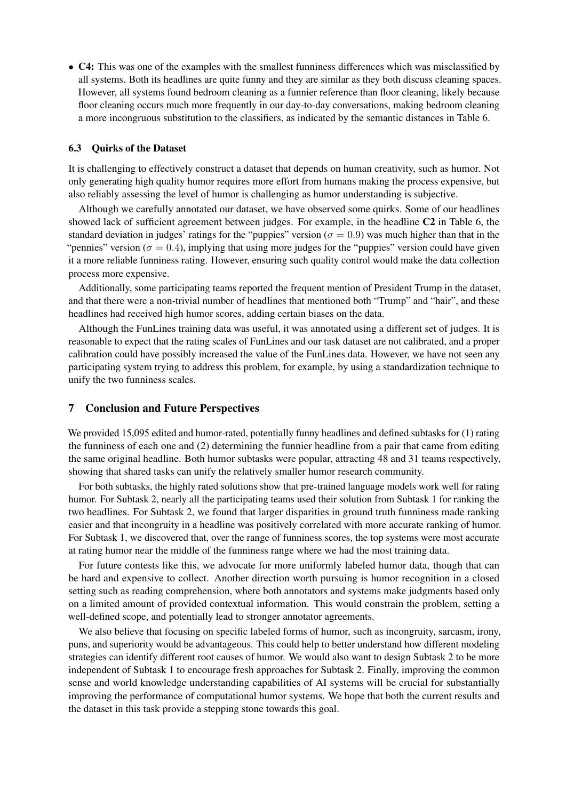• C4: This was one of the examples with the smallest funniness differences which was misclassified by all systems. Both its headlines are quite funny and they are similar as they both discuss cleaning spaces. However, all systems found bedroom cleaning as a funnier reference than floor cleaning, likely because floor cleaning occurs much more frequently in our day-to-day conversations, making bedroom cleaning a more incongruous substitution to the classifiers, as indicated by the semantic distances in Table 6.

#### 6.3 Quirks of the Dataset

It is challenging to effectively construct a dataset that depends on human creativity, such as humor. Not only generating high quality humor requires more effort from humans making the process expensive, but also reliably assessing the level of humor is challenging as humor understanding is subjective.

Although we carefully annotated our dataset, we have observed some quirks. Some of our headlines showed lack of sufficient agreement between judges. For example, in the headline C2 in Table 6, the standard deviation in judges' ratings for the "puppies" version ( $\sigma = 0.9$ ) was much higher than that in the "pennies" version ( $\sigma = 0.4$ ), implying that using more judges for the "puppies" version could have given it a more reliable funniness rating. However, ensuring such quality control would make the data collection process more expensive.

Additionally, some participating teams reported the frequent mention of President Trump in the dataset, and that there were a non-trivial number of headlines that mentioned both "Trump" and "hair", and these headlines had received high humor scores, adding certain biases on the data.

Although the FunLines training data was useful, it was annotated using a different set of judges. It is reasonable to expect that the rating scales of FunLines and our task dataset are not calibrated, and a proper calibration could have possibly increased the value of the FunLines data. However, we have not seen any participating system trying to address this problem, for example, by using a standardization technique to unify the two funniness scales.

#### 7 Conclusion and Future Perspectives

We provided 15,095 edited and humor-rated, potentially funny headlines and defined subtasks for (1) rating the funniness of each one and (2) determining the funnier headline from a pair that came from editing the same original headline. Both humor subtasks were popular, attracting 48 and 31 teams respectively, showing that shared tasks can unify the relatively smaller humor research community.

For both subtasks, the highly rated solutions show that pre-trained language models work well for rating humor. For Subtask 2, nearly all the participating teams used their solution from Subtask 1 for ranking the two headlines. For Subtask 2, we found that larger disparities in ground truth funniness made ranking easier and that incongruity in a headline was positively correlated with more accurate ranking of humor. For Subtask 1, we discovered that, over the range of funniness scores, the top systems were most accurate at rating humor near the middle of the funniness range where we had the most training data.

For future contests like this, we advocate for more uniformly labeled humor data, though that can be hard and expensive to collect. Another direction worth pursuing is humor recognition in a closed setting such as reading comprehension, where both annotators and systems make judgments based only on a limited amount of provided contextual information. This would constrain the problem, setting a well-defined scope, and potentially lead to stronger annotator agreements.

We also believe that focusing on specific labeled forms of humor, such as incongruity, sarcasm, irony, puns, and superiority would be advantageous. This could help to better understand how different modeling strategies can identify different root causes of humor. We would also want to design Subtask 2 to be more independent of Subtask 1 to encourage fresh approaches for Subtask 2. Finally, improving the common sense and world knowledge understanding capabilities of AI systems will be crucial for substantially improving the performance of computational humor systems. We hope that both the current results and the dataset in this task provide a stepping stone towards this goal.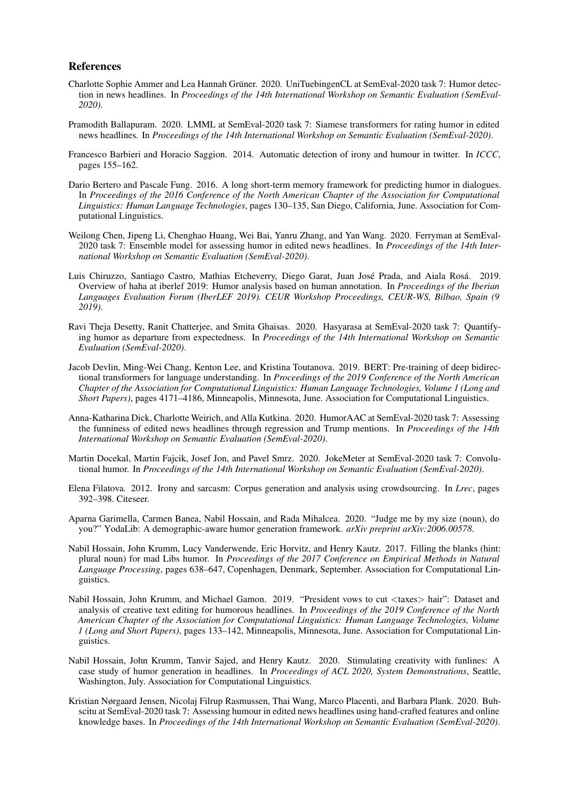#### References

- Charlotte Sophie Ammer and Lea Hannah Grüner. 2020. UniTuebingenCL at SemEval-2020 task 7: Humor detection in news headlines. In *Proceedings of the 14th International Workshop on Semantic Evaluation (SemEval-2020)*.
- Pramodith Ballapuram. 2020. LMML at SemEval-2020 task 7: Siamese transformers for rating humor in edited news headlines. In *Proceedings of the 14th International Workshop on Semantic Evaluation (SemEval-2020)*.
- Francesco Barbieri and Horacio Saggion. 2014. Automatic detection of irony and humour in twitter. In *ICCC*, pages 155–162.
- Dario Bertero and Pascale Fung. 2016. A long short-term memory framework for predicting humor in dialogues. In *Proceedings of the 2016 Conference of the North American Chapter of the Association for Computational Linguistics: Human Language Technologies*, pages 130–135, San Diego, California, June. Association for Computational Linguistics.
- Weilong Chen, Jipeng Li, Chenghao Huang, Wei Bai, Yanru Zhang, and Yan Wang. 2020. Ferryman at SemEval-2020 task 7: Ensemble model for assessing humor in edited news headlines. In *Proceedings of the 14th International Workshop on Semantic Evaluation (SemEval-2020)*.
- Luis Chiruzzo, Santiago Castro, Mathias Etcheverry, Diego Garat, Juan José Prada, and Aiala Rosá. 2019. Overview of haha at iberlef 2019: Humor analysis based on human annotation. In *Proceedings of the Iberian Languages Evaluation Forum (IberLEF 2019). CEUR Workshop Proceedings, CEUR-WS, Bilbao, Spain (9 2019)*.
- Ravi Theja Desetty, Ranit Chatterjee, and Smita Ghaisas. 2020. Hasyarasa at SemEval-2020 task 7: Quantifying humor as departure from expectedness. In *Proceedings of the 14th International Workshop on Semantic Evaluation (SemEval-2020)*.
- Jacob Devlin, Ming-Wei Chang, Kenton Lee, and Kristina Toutanova. 2019. BERT: Pre-training of deep bidirectional transformers for language understanding. In *Proceedings of the 2019 Conference of the North American Chapter of the Association for Computational Linguistics: Human Language Technologies, Volume 1 (Long and Short Papers)*, pages 4171–4186, Minneapolis, Minnesota, June. Association for Computational Linguistics.
- Anna-Katharina Dick, Charlotte Weirich, and Alla Kutkina. 2020. HumorAAC at SemEval-2020 task 7: Assessing the funniness of edited news headlines through regression and Trump mentions. In *Proceedings of the 14th International Workshop on Semantic Evaluation (SemEval-2020)*.
- Martin Docekal, Martin Fajcik, Josef Jon, and Pavel Smrz. 2020. JokeMeter at SemEval-2020 task 7: Convolutional humor. In *Proceedings of the 14th International Workshop on Semantic Evaluation (SemEval-2020)*.
- Elena Filatova. 2012. Irony and sarcasm: Corpus generation and analysis using crowdsourcing. In *Lrec*, pages 392–398. Citeseer.
- Aparna Garimella, Carmen Banea, Nabil Hossain, and Rada Mihalcea. 2020. "Judge me by my size (noun), do you?" YodaLib: A demographic-aware humor generation framework. *arXiv preprint arXiv:2006.00578*.
- Nabil Hossain, John Krumm, Lucy Vanderwende, Eric Horvitz, and Henry Kautz. 2017. Filling the blanks (hint: plural noun) for mad Libs humor. In *Proceedings of the 2017 Conference on Empirical Methods in Natural Language Processing*, pages 638–647, Copenhagen, Denmark, September. Association for Computational Linguistics.
- Nabil Hossain, John Krumm, and Michael Gamon. 2019. "President vows to cut <taxes> hair": Dataset and analysis of creative text editing for humorous headlines. In *Proceedings of the 2019 Conference of the North American Chapter of the Association for Computational Linguistics: Human Language Technologies, Volume 1 (Long and Short Papers)*, pages 133–142, Minneapolis, Minnesota, June. Association for Computational Linguistics.
- Nabil Hossain, John Krumm, Tanvir Sajed, and Henry Kautz. 2020. Stimulating creativity with funlines: A case study of humor generation in headlines. In *Proceedings of ACL 2020, System Demonstrations*, Seattle, Washington, July. Association for Computational Linguistics.
- Kristian Nørgaard Jensen, Nicolaj Filrup Rasmussen, Thai Wang, Marco Placenti, and Barbara Plank. 2020. Buhscitu at SemEval-2020 task 7: Assessing humour in edited news headlines using hand-crafted features and online knowledge bases. In *Proceedings of the 14th International Workshop on Semantic Evaluation (SemEval-2020)*.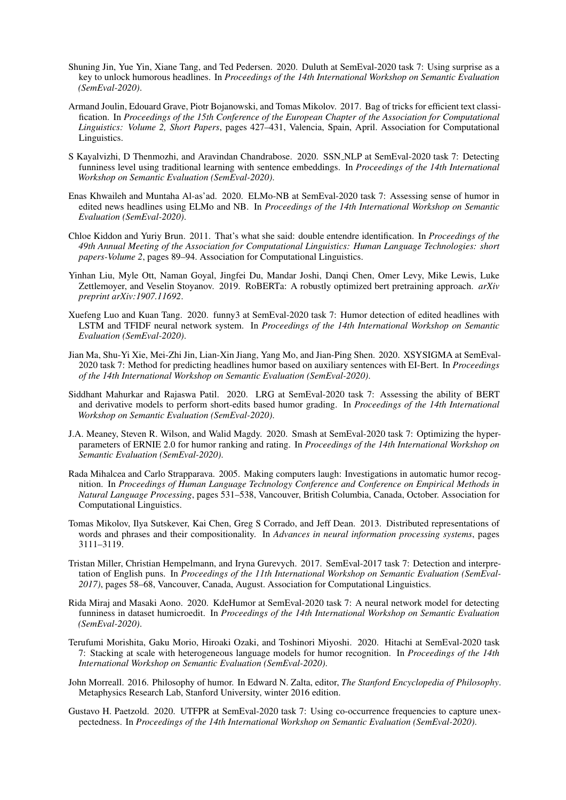- Shuning Jin, Yue Yin, Xiane Tang, and Ted Pedersen. 2020. Duluth at SemEval-2020 task 7: Using surprise as a key to unlock humorous headlines. In *Proceedings of the 14th International Workshop on Semantic Evaluation (SemEval-2020)*.
- Armand Joulin, Edouard Grave, Piotr Bojanowski, and Tomas Mikolov. 2017. Bag of tricks for efficient text classification. In *Proceedings of the 15th Conference of the European Chapter of the Association for Computational Linguistics: Volume 2, Short Papers*, pages 427–431, Valencia, Spain, April. Association for Computational Linguistics.
- S Kayalvizhi, D Thenmozhi, and Aravindan Chandrabose. 2020. SSN NLP at SemEval-2020 task 7: Detecting funniness level using traditional learning with sentence embeddings. In *Proceedings of the 14th International Workshop on Semantic Evaluation (SemEval-2020)*.
- Enas Khwaileh and Muntaha Al-as'ad. 2020. ELMo-NB at SemEval-2020 task 7: Assessing sense of humor in edited news headlines using ELMo and NB. In *Proceedings of the 14th International Workshop on Semantic Evaluation (SemEval-2020)*.
- Chloe Kiddon and Yuriy Brun. 2011. That's what she said: double entendre identification. In *Proceedings of the 49th Annual Meeting of the Association for Computational Linguistics: Human Language Technologies: short papers-Volume 2*, pages 89–94. Association for Computational Linguistics.
- Yinhan Liu, Myle Ott, Naman Goyal, Jingfei Du, Mandar Joshi, Danqi Chen, Omer Levy, Mike Lewis, Luke Zettlemoyer, and Veselin Stoyanov. 2019. RoBERTa: A robustly optimized bert pretraining approach. *arXiv preprint arXiv:1907.11692*.
- Xuefeng Luo and Kuan Tang. 2020. funny3 at SemEval-2020 task 7: Humor detection of edited headlines with LSTM and TFIDF neural network system. In *Proceedings of the 14th International Workshop on Semantic Evaluation (SemEval-2020)*.
- Jian Ma, Shu-Yi Xie, Mei-Zhi Jin, Lian-Xin Jiang, Yang Mo, and Jian-Ping Shen. 2020. XSYSIGMA at SemEval-2020 task 7: Method for predicting headlines humor based on auxiliary sentences with EI-Bert. In *Proceedings of the 14th International Workshop on Semantic Evaluation (SemEval-2020)*.
- Siddhant Mahurkar and Rajaswa Patil. 2020. LRG at SemEval-2020 task 7: Assessing the ability of BERT and derivative models to perform short-edits based humor grading. In *Proceedings of the 14th International Workshop on Semantic Evaluation (SemEval-2020)*.
- J.A. Meaney, Steven R. Wilson, and Walid Magdy. 2020. Smash at SemEval-2020 task 7: Optimizing the hyperparameters of ERNIE 2.0 for humor ranking and rating. In *Proceedings of the 14th International Workshop on Semantic Evaluation (SemEval-2020)*.
- Rada Mihalcea and Carlo Strapparava. 2005. Making computers laugh: Investigations in automatic humor recognition. In *Proceedings of Human Language Technology Conference and Conference on Empirical Methods in Natural Language Processing*, pages 531–538, Vancouver, British Columbia, Canada, October. Association for Computational Linguistics.
- Tomas Mikolov, Ilya Sutskever, Kai Chen, Greg S Corrado, and Jeff Dean. 2013. Distributed representations of words and phrases and their compositionality. In *Advances in neural information processing systems*, pages 3111–3119.
- Tristan Miller, Christian Hempelmann, and Iryna Gurevych. 2017. SemEval-2017 task 7: Detection and interpretation of English puns. In *Proceedings of the 11th International Workshop on Semantic Evaluation (SemEval-2017)*, pages 58–68, Vancouver, Canada, August. Association for Computational Linguistics.
- Rida Miraj and Masaki Aono. 2020. KdeHumor at SemEval-2020 task 7: A neural network model for detecting funniness in dataset humicroedit. In *Proceedings of the 14th International Workshop on Semantic Evaluation (SemEval-2020)*.
- Terufumi Morishita, Gaku Morio, Hiroaki Ozaki, and Toshinori Miyoshi. 2020. Hitachi at SemEval-2020 task 7: Stacking at scale with heterogeneous language models for humor recognition. In *Proceedings of the 14th International Workshop on Semantic Evaluation (SemEval-2020)*.
- John Morreall. 2016. Philosophy of humor. In Edward N. Zalta, editor, *The Stanford Encyclopedia of Philosophy*. Metaphysics Research Lab, Stanford University, winter 2016 edition.
- Gustavo H. Paetzold. 2020. UTFPR at SemEval-2020 task 7: Using co-occurrence frequencies to capture unexpectedness. In *Proceedings of the 14th International Workshop on Semantic Evaluation (SemEval-2020)*.